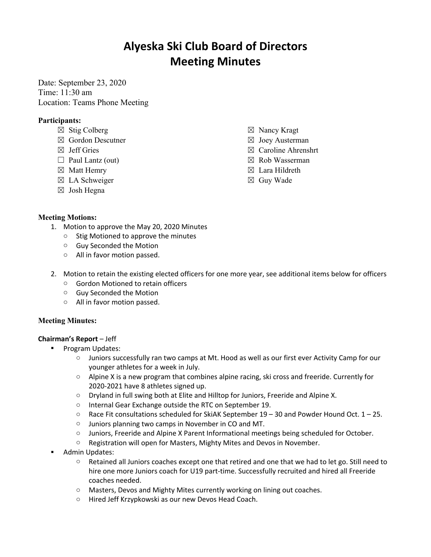# **Alyeska Ski Club Board of Directors Meeting Minutes**

Date: September 23, 2020 Time: 11:30 am Location: Teams Phone Meeting

## **Participants:**

- $\boxtimes$  Stig Colberg
- ☒ Gordon Descutner
- ☒ Jeff Gries
- $\Box$  Paul Lantz (out)
- ☒ Matt Hemry
- ☒ LA Schweiger
- ☒ Josh Hegna
- ☒ Nancy Kragt
- $\boxtimes$  Joey Austerman
- ☒ Caroline Ahrenshrt
- ☒ Rob Wasserman
- ☒ Lara Hildreth
- ☒ Guy Wade

### **Meeting Motions:**

- 1. Motion to approve the May 20, 2020 Minutes
	- o Stig Motioned to approve the minutes
	- o Guy Seconded the Motion
	- o All in favor motion passed.
- 2. Motion to retain the existing elected officers for one more year, see additional items below for officers
	- o Gordon Motioned to retain officers
	- o Guy Seconded the Motion
	- o All in favor motion passed.

### **Meeting Minutes:**

### **Chairman's Report** – Jeff

- § Program Updates:
	- o Juniors successfully ran two camps at Mt. Hood as well as our first ever Activity Camp for our younger athletes for a week in July.
	- $\circ$  Alpine X is a new program that combines alpine racing, ski cross and freeride. Currently for 2020-2021 have 8 athletes signed up.
	- o Dryland in full swing both at Elite and Hilltop for Juniors, Freeride and Alpine X.
	- o Internal Gear Exchange outside the RTC on September 19.
	- $\circ$  Race Fit consultations scheduled for SkiAK September 19 30 and Powder Hound Oct. 1 25.
	- o Juniors planning two camps in November in CO and MT.
	- o Juniors, Freeride and Alpine X Parent Informational meetings being scheduled for October.
	- o Registration will open for Masters, Mighty Mites and Devos in November.
- § Admin Updates:
	- o Retained all Juniors coaches except one that retired and one that we had to let go. Still need to hire one more Juniors coach for U19 part-time. Successfully recruited and hired all Freeride coaches needed.
	- o Masters, Devos and Mighty Mites currently working on lining out coaches.
	- o Hired Jeff Krzypkowski as our new Devos Head Coach.